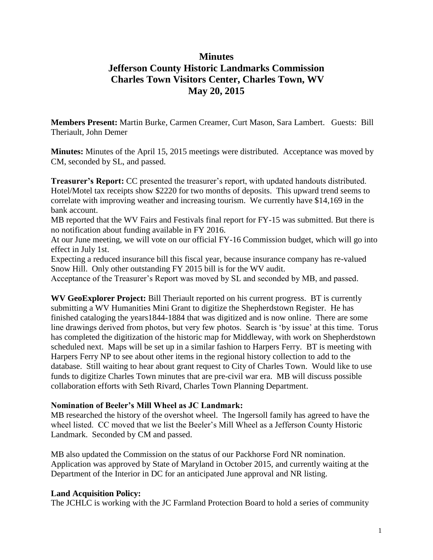# **Minutes Jefferson County Historic Landmarks Commission Charles Town Visitors Center, Charles Town, WV May 20, 2015**

**Members Present:** Martin Burke, Carmen Creamer, Curt Mason, Sara Lambert. Guests: Bill Theriault, John Demer

**Minutes:** Minutes of the April 15, 2015 meetings were distributed. Acceptance was moved by CM, seconded by SL, and passed.

**Treasurer's Report:** CC presented the treasurer's report, with updated handouts distributed. Hotel/Motel tax receipts show \$2220 for two months of deposits. This upward trend seems to correlate with improving weather and increasing tourism. We currently have \$14,169 in the bank account.

MB reported that the WV Fairs and Festivals final report for FY-15 was submitted. But there is no notification about funding available in FY 2016.

At our June meeting, we will vote on our official FY-16 Commission budget, which will go into effect in July 1st.

Expecting a reduced insurance bill this fiscal year, because insurance company has re-valued Snow Hill. Only other outstanding FY 2015 bill is for the WV audit.

Acceptance of the Treasurer's Report was moved by SL and seconded by MB, and passed.

**WV GeoExplorer Project:** Bill Theriault reported on his current progress. BT is currently submitting a WV Humanities Mini Grant to digitize the Shepherdstown Register. He has finished cataloging the years1844-1884 that was digitized and is now online. There are some line drawings derived from photos, but very few photos. Search is 'by issue' at this time. Torus has completed the digitization of the historic map for Middleway, with work on Shepherdstown scheduled next. Maps will be set up in a similar fashion to Harpers Ferry. BT is meeting with Harpers Ferry NP to see about other items in the regional history collection to add to the database. Still waiting to hear about grant request to City of Charles Town. Would like to use funds to digitize Charles Town minutes that are pre-civil war era. MB will discuss possible collaboration efforts with Seth Rivard, Charles Town Planning Department.

## **Nomination of Beeler's Mill Wheel as JC Landmark:**

MB researched the history of the overshot wheel. The Ingersoll family has agreed to have the wheel listed. CC moved that we list the Beeler's Mill Wheel as a Jefferson County Historic Landmark. Seconded by CM and passed.

MB also updated the Commission on the status of our Packhorse Ford NR nomination. Application was approved by State of Maryland in October 2015, and currently waiting at the Department of the Interior in DC for an anticipated June approval and NR listing.

#### **Land Acquisition Policy:**

The JCHLC is working with the JC Farmland Protection Board to hold a series of community